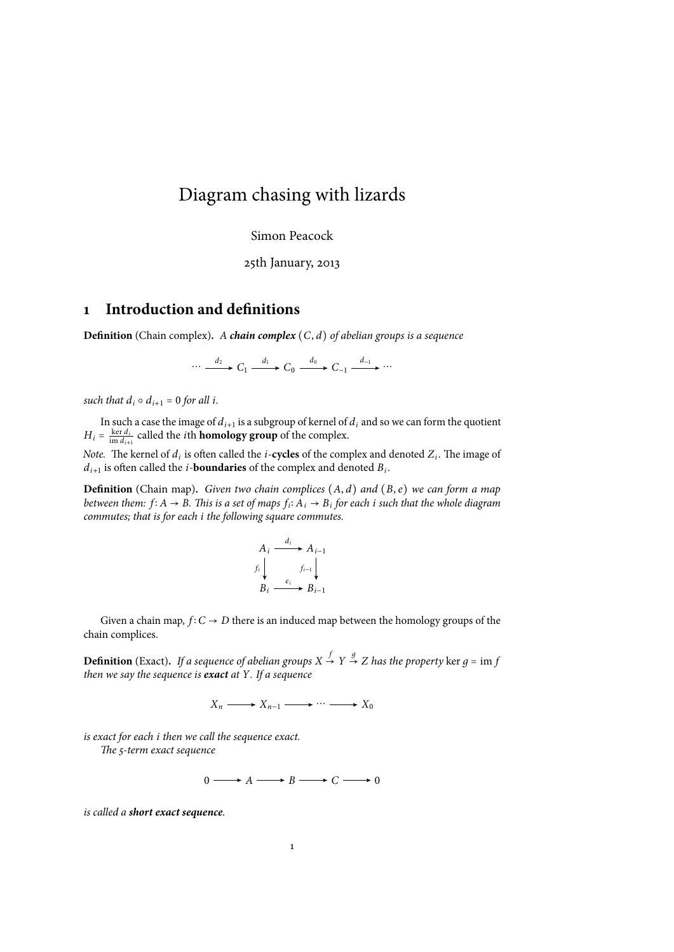# Diagram chasing with lizards

Simon Peacock

25th January, 2013

## **1** Introduction and definitions

**Definition** (Chain complex). A **chain complex**  $(C, d)$  of abelian groups is a sequence

$$
\cdots \xrightarrow{d_2} C_1 \xrightarrow{d_1} C_0 \xrightarrow{d_0} C_{-1} \xrightarrow{d_{-1}} \cdots
$$

such that  $d_i \circ d_{i+1} = 0$  for all i.

In such a case the image of  $d_{i+1}$  is a subgroup of kernel of  $d_i$  and so we can form the quotient  $H_i = \frac{\ker d_i}{\text{im } d_{i+1}}$  called the *i*th **homology group** of the complex.

Note. The kernel of  $d_i$  is often called the  $i$ **-cycles** of the complex and denoted  $Z_i$ . The image of  $d_{i+1}$  is often called the *i*-**boundaries** of the complex and denoted  $B_i$ .

**Definition** (Chain map). Given two chain complices  $(A, d)$  and  $(B, e)$  we can form a map between them:  $f$ : A → B. This is a set of maps  $f_i$ : A $_i$  → B $_i$  for each i such that the whole diagram commutes; that is for each i the following square commutes.

$$
A_i \xrightarrow{d_i} A_{i-1}
$$
\n
$$
f_i \downarrow \qquad f_{i-1} \downarrow
$$
\n
$$
B_i \xrightarrow{e_i} B_{i-1}
$$

Given a chain map,  $f: C \to D$  there is an induced map between the homology groups of the chain complices.

**Definition** (Exact). *If a sequence of abelian groups*  $X \stackrel{f}{\rightarrow} Y \stackrel{g}{\rightarrow} Z$  *has the property* ker  $g = \text{im } j$ then we say the sequence is **exact** at Y. If a sequence

 $X_n \longrightarrow X_{n-1} \longrightarrow \cdots \longrightarrow X_0$ 

is exact for each i then we call the sequence exact. The 5-term exact sequence

 $0 \longrightarrow A \longrightarrow B \longrightarrow C \longrightarrow 0$ 

is called a **short exact sequence**.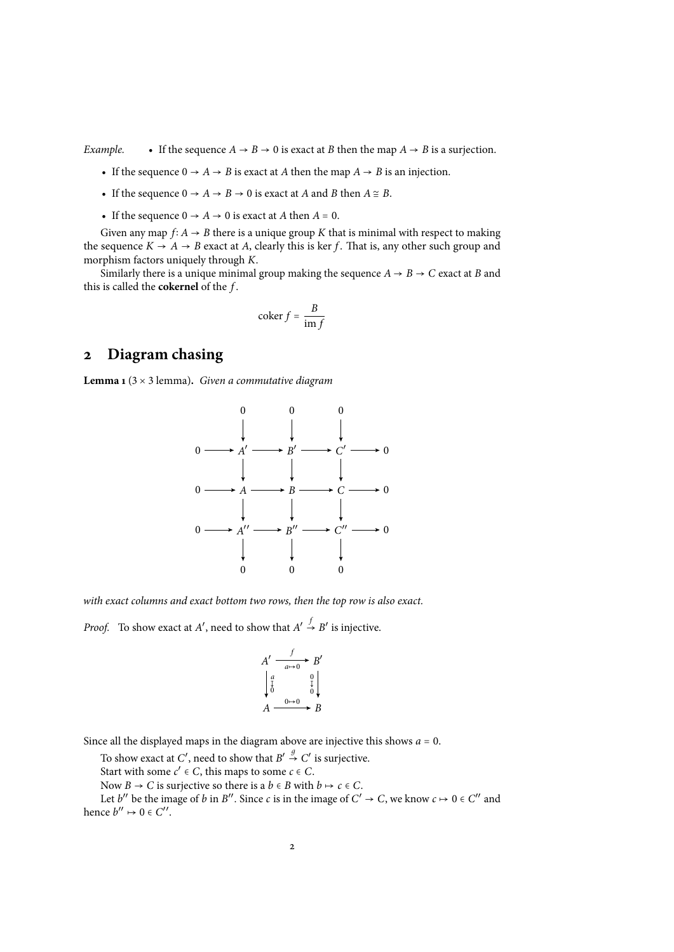*Example.* • If the sequence  $A \rightarrow B \rightarrow 0$  is exact at B then the map  $A \rightarrow B$  is a surjection.

- If the sequence  $0 \rightarrow A \rightarrow B$  is exact at A then the map  $A \rightarrow B$  is an injection.
- If the sequence  $0 \rightarrow A \rightarrow B \rightarrow 0$  is exact at A and B then  $A \cong B$ .
- If the sequence  $0 \rightarrow A \rightarrow 0$  is exact at A then  $A = 0$ .

Given any map  $f: A \rightarrow B$  there is a unique group K that is minimal with respect to making the sequence  $K \rightarrow A \rightarrow B$  exact at A, clearly this is ker f. That is, any other such group and morphism factors uniquely through K.

Similarly there is a unique minimal group making the sequence  $A \rightarrow B \rightarrow C$  exact at B and this is called the **cokernel** of the f.

$$
\operatorname{coker} f = \frac{B}{\operatorname{im} f}
$$

#### **2 Diagram chasing**

**Lemma 1** ( $3 \times 3$  lemma). Given a commutative diagram



with exact columns and exact bottom two rows, then the top row is also exact.

*Proof.* To show exact at A', need to show that  $A' \stackrel{f}{\rightarrow} B'$  is injective.

$$
A' \xrightarrow[a \to 0]{} B'
$$
  
\n
$$
\downarrow \frac{a}{\downarrow} \qquad \qquad \downarrow \qquad \downarrow
$$
  
\n
$$
A \xrightarrow{0 \to 0} B
$$

Since all the displayed maps in the diagram above are injective this shows  $a = 0$ .

To show exact at  $C'$ , need to show that  $B' \stackrel{g}{\rightarrow} C'$  is surjective.

Start with some  $c' \in C$ , this maps to some  $c \in C$ .

Now  $B \to C$  is surjective so there is a  $b \in B$  with  $b \mapsto c \in C$ .

Let b'' be the image of b in B''. Since c is in the image of  $C' \rightarrow C$ , we know  $c \mapsto 0 \in C''$  and hence  $b'' \mapsto 0 \in C''$ .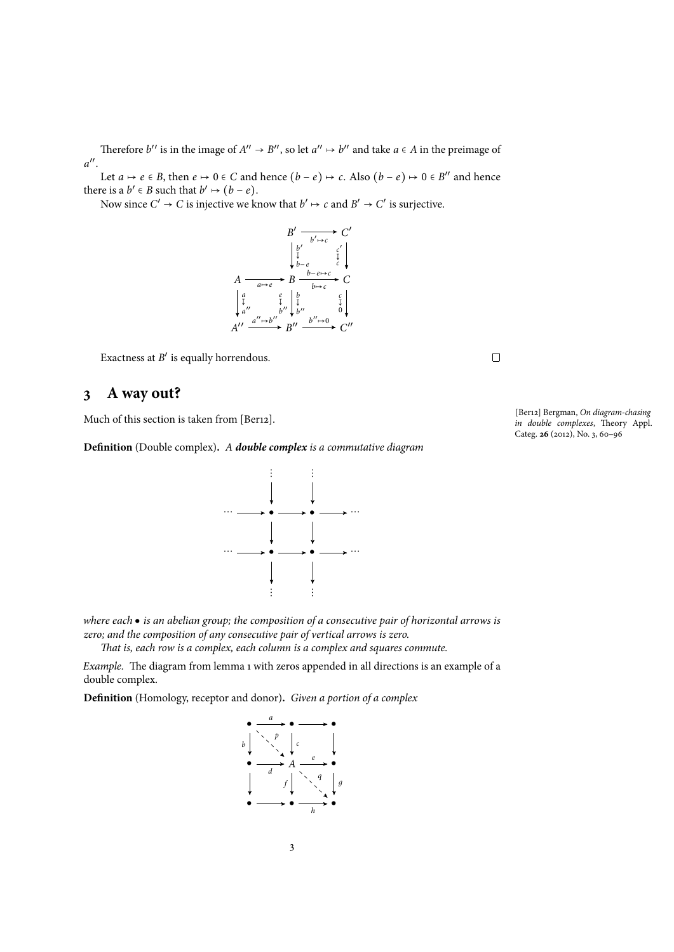Therefore  $b''$  is in the image of  $A'' \to B''$ , so let  $a'' \mapsto b''$  and take  $a \in A$  in the preimage of  $a^{\prime\prime}$ .

Let  $a \mapsto e \in B$ , then  $e \mapsto 0 \in C$  and hence  $(b - e) \mapsto c$ . Also  $(b - e) \mapsto 0 \in B''$  and hence there is a  $b' \in B$  such that  $b' \mapsto (b - e)$ .

Now since  $C' \rightarrow C$  is injective we know that  $b' \mapsto c$  and  $B' \rightarrow C'$  is surjective.

 $B' \longrightarrow C$ ′  $A \longrightarrow B \longrightarrow C$  $A'' \xrightarrow{a \mapsto b} B'' \xrightarrow{b \mapsto 0} C''$  $\mathop \downarrow \limits_c^c$  $b-e \mapsto c$  $\begin{array}{c} e \\ \downarrow \end{array}$   $\begin{array}{c} b \mapsto c \\ \downarrow \end{array}$  $\begin{bmatrix} e \\ \downarrow \\ b'' \end{bmatrix}$   $\begin{bmatrix} b \\ \downarrow \\ b'' \end{bmatrix}$  $\begin{array}{ccc} b & & c \\ \downarrow & & \downarrow \\ b^{\prime\prime} & & 0 \end{array}$  $a'' \mapsto b''$   $b'' \mapsto 0$ a<br>↓ a ′′  $a \mapsto e$ b′<br>↓<br>b−e  $b' \mapsto c$ 

Exactness at  $B'$  is equally horrendous.

## **3 A way out?**

Much of this section is taken from [Ber12].

**Definition** (Double complex). A **double complex** is a commutative diagram



[Ber12] Bergman, On diagram-chasing in double complexes, Theory Appl. Categ. **26** (2012), No. 3, 60–96

 $\Box$ 

where each  $\bullet$  is an abelian group; the composition of a consecutive pair of horizontal arrows is zero; and the composition of any consecutive pair of vertical arrows is zero.

That is, each row is a complex, each column is a complex and squares commute.

Example. The diagram from lemma 1 with zeros appended in all directions is an example of a double complex.

**Definition** (Homology, receptor and donor). Given a portion of a complex

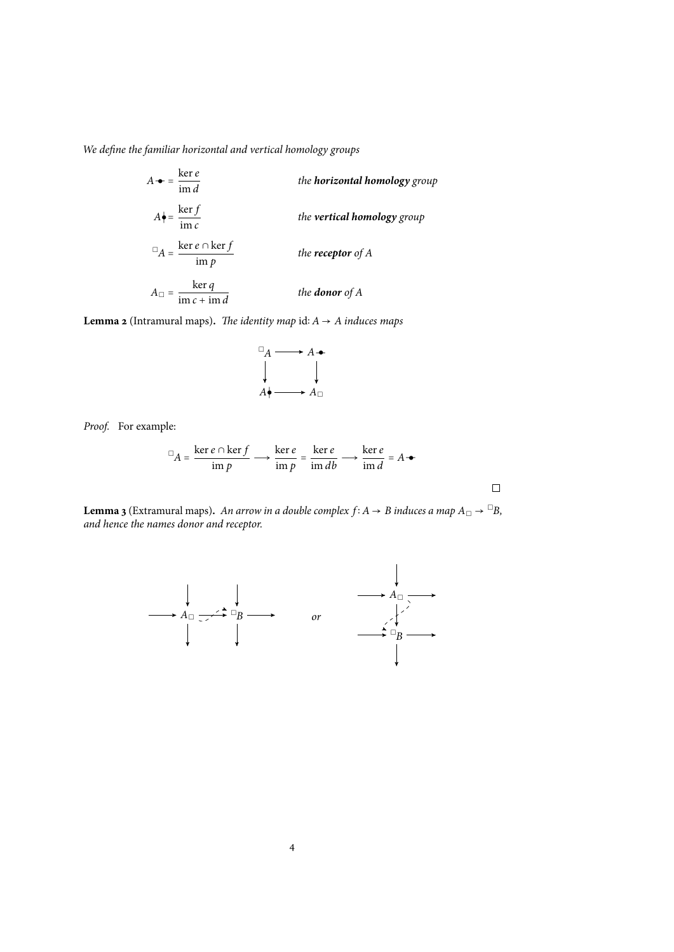We define the familiar horizontal and vertical homology groups

$$
A \bullet = \frac{\ker e}{\mathrm{im } d} \qquad \qquad the \text{ horizontal homology group}
$$
\n
$$
A \bullet = \frac{\ker f}{\mathrm{im } c} \qquad \qquad the \text{ vertical homology group}
$$
\n
$$
\Box_A = \frac{\ker e \cap \ker f}{\mathrm{im } p} \qquad \qquad the \text{ receptor of } A
$$
\n
$$
A_{\Box} = \frac{\ker q}{\mathrm{im } c + \mathrm{im } d} \qquad \qquad the \text{ donor of } A
$$

**Lemma 2** (Intramural maps). *The identity map* id:  $A \rightarrow A$  *induces maps* 

$$
\begin{array}{ccc}\n\Box_A & \longrightarrow & A \bullet \\
\downarrow & & \downarrow \\
A \bullet & \longrightarrow & A_{\Box}\n\end{array}
$$

Proof. For example:

$$
\Box_A = \frac{\ker e \cap \ker f}{\operatorname{im} p} \longrightarrow \frac{\ker e}{\operatorname{im} p} = \frac{\ker e}{\operatorname{im} db} \longrightarrow \frac{\ker e}{\operatorname{im} d} = A \blacktriangleright
$$

 $\Box$ 

**Lemma 3** (Extramural maps). An arrow in a double complex  $f: A \rightarrow B$  induces a map  $A_{\Box} \rightarrow {}^{\Box}B$ , and hence the names donor and receptor.

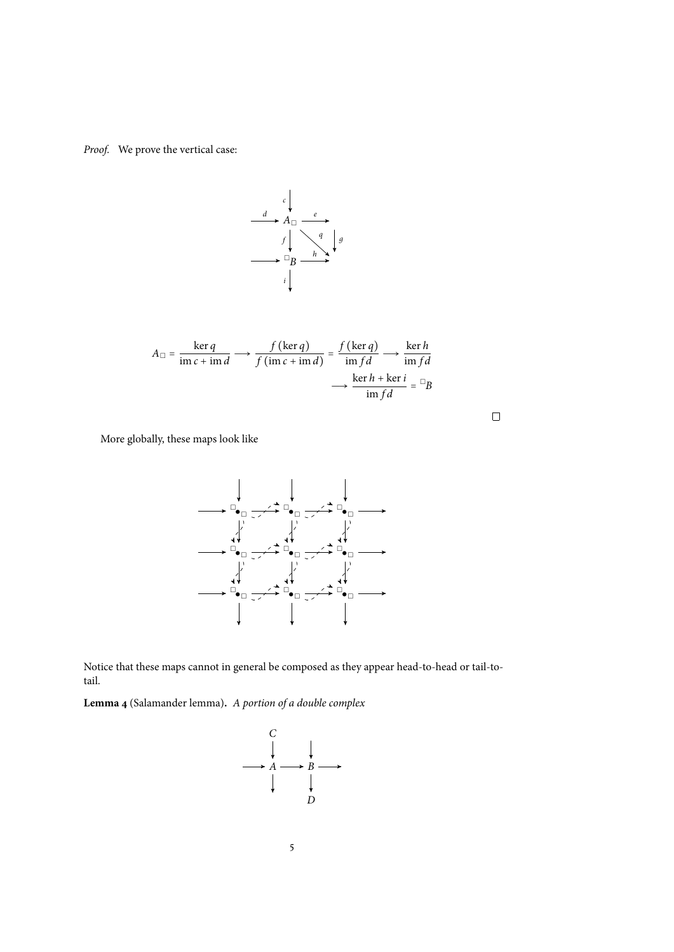Proof. We prove the vertical case:



$$
A_{\Box} = \frac{\ker q}{\operatorname{im} c + \operatorname{im} d} \longrightarrow \frac{f(\ker q)}{f(\operatorname{im} c + \operatorname{im} d)} = \frac{f(\ker q)}{\operatorname{im} fd} \longrightarrow \frac{\ker h}{\operatorname{im} fd} \longrightarrow \frac{\ker h + \ker i}{\operatorname{im} fd} = \Box B
$$

 $\Box$ 

More globally, these maps look like



Notice that these maps cannot in general be composed as they appear head-to-head or tail-totail.

**Lemma 4** (Salamander lemma)**.** A portion of a double complex

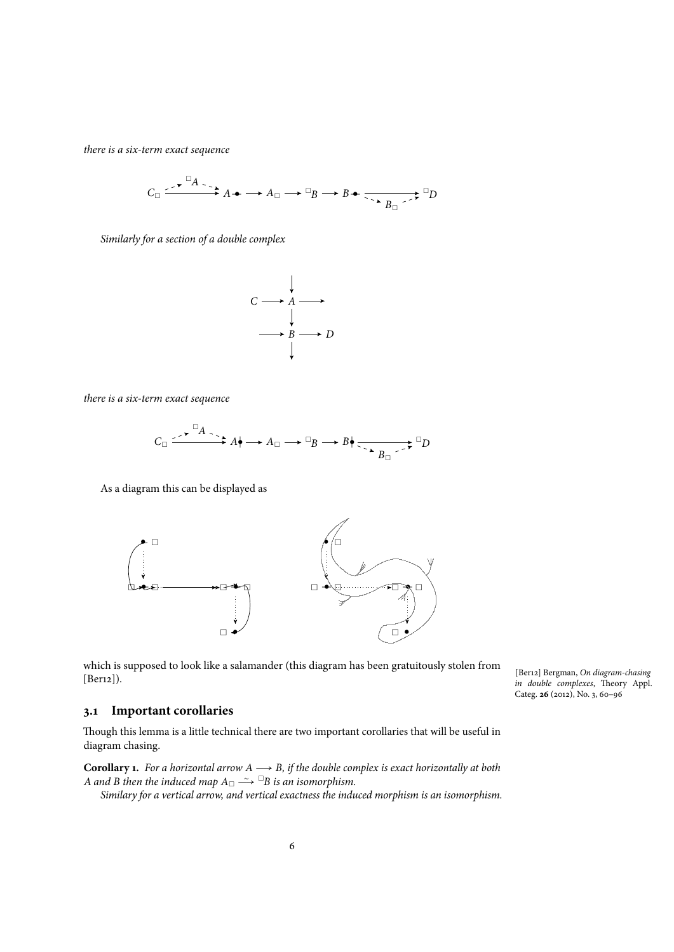there is a six-term exact sequence

$$
C_{\Box} \xrightarrow{\Box^{R} \rightarrow} A \bullet \longrightarrow A_{\Box} \longrightarrow \Box^{B} \longrightarrow B \bullet \xrightarrow{\Box^{R} \rightarrow} B_{\Box} \xrightarrow{\Box^{D} D}
$$

Similarly for a section of a double complex



there is a six-term exact sequence

A C A●∣ A B B●∣ D B

As a diagram this can be displayed as



which is supposed to look like a salamander (this diagram has been gratuitously stolen from [Ber<sub>12</sub>]).

[Ber12] Bergman, On diagram-chasing in double complexes, Theory Appl. Categ. **26** (2012), No. 3, 60–96

#### **3.1 Important corollaries**

Though this lemma is a little technical there are two important corollaries that will be useful in diagram chasing.

**Corollary 1.** For a horizontal arrow  $A \rightarrow B$ , if the double complex is exact horizontally at both A and B then the induced map  $A_{\Box} \xrightarrow{\sim} {}^{\Box}B$  is an isomorphism.

Similary for a vertical arrow, and vertical exactness the induced morphism is an isomorphism.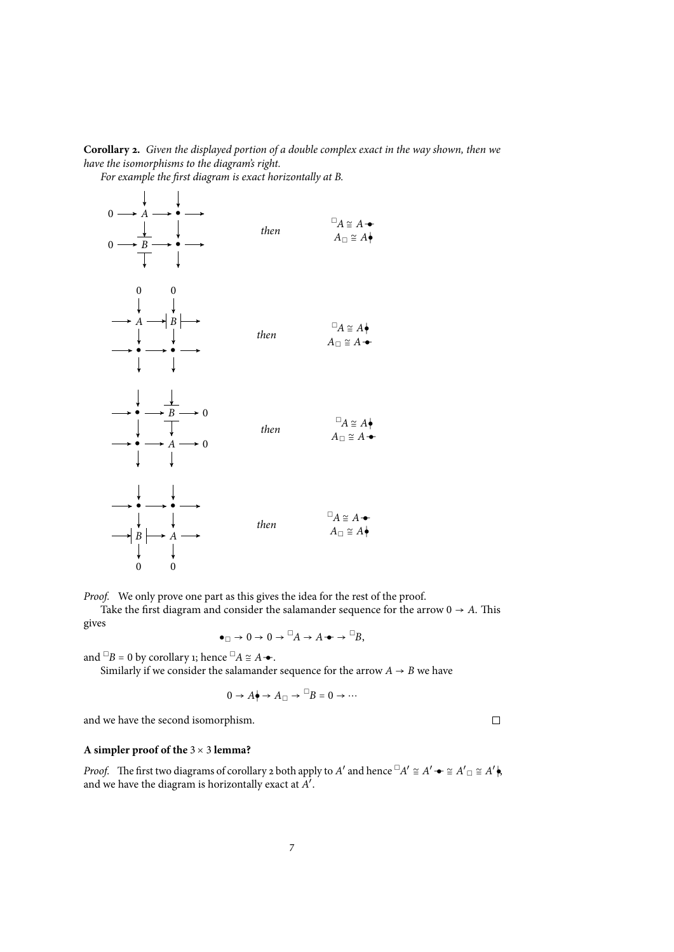**Corollary 2.** Given the displayed portion of a double complex exact in the way shown, then we have the isomorphisms to the diagram's right.

For example the first diagram is exact horizontally at B.



Proof. We only prove one part as this gives the idea for the rest of the proof.

Take the first diagram and consider the salamander sequence for the arrow  $0 \rightarrow A$ . This gives

$$
\bullet_{\Box} \to 0 \to 0 \to \Box A \to A \bullet \to \Box B,
$$

and  $\Box B = 0$  by corollary 1; hence  $\Box A \cong A \rightarrow$ .

Similarly if we consider the salamander sequence for the arrow  $A \rightarrow B$  we have

$$
0 \to A \biglarrow \to A_{\square} \to {}^{\square}B = 0 \to \cdots
$$

and we have the second isomorphism.

#### **A simpler proof of the** 3 × 3 **lemma?**

*Proof.* The first two diagrams of corollary 2 both apply to A' and hence  $\Box A' \cong A' \rightarrow \cong A' \oplus A' \oplus A'$ and we have the diagram is horizontally exact at  $A'$ .

 $\Box$